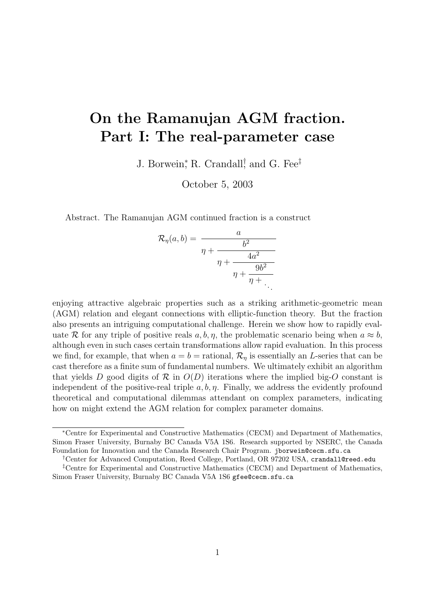# On the Ramanujan AGM fraction. Part I: The real-parameter case

J. Borwein,<sup>\*</sup> R. Crandall,<sup>†</sup> and G. Fee<sup>‡</sup>

October 5, 2003

Abstract. The Ramanujan AGM continued fraction is a construct

$$
\mathcal{R}_{\eta}(a,b) = \frac{a}{\eta + \frac{b^2}{\eta + \frac{4a^2}{\eta + \frac{9b^2}{\eta + \ddots}}}}.
$$

enjoying attractive algebraic properties such as a striking arithmetic-geometric mean (AGM) relation and elegant connections with elliptic-function theory. But the fraction also presents an intriguing computational challenge. Herein we show how to rapidly evaluate R for any triple of positive reals  $a, b, \eta$ , the problematic scenario being when  $a \approx b$ , although even in such cases certain transformations allow rapid evaluation. In this process we find, for example, that when  $a = b =$  rational,  $\mathcal{R}_n$  is essentially an L-series that can be cast therefore as a finite sum of fundamental numbers. We ultimately exhibit an algorithm that yields D good digits of  $\mathcal R$  in  $O(D)$  iterations where the implied big-O constant is independent of the positive-real triple  $a, b, \eta$ . Finally, we address the evidently profound theoretical and computational dilemmas attendant on complex parameters, indicating how on might extend the AGM relation for complex parameter domains.

<sup>∗</sup>Centre for Experimental and Constructive Mathematics (CECM) and Department of Mathematics, Simon Fraser University, Burnaby BC Canada V5A 1S6. Research supported by NSERC, the Canada Foundation for Innovation and the Canada Research Chair Program. jborwein@cecm.sfu.ca

<sup>†</sup>Center for Advanced Computation, Reed College, Portland, OR 97202 USA, crandall@reed.edu

<sup>‡</sup>Centre for Experimental and Constructive Mathematics (CECM) and Department of Mathematics, Simon Fraser University, Burnaby BC Canada V5A 1S6 gfee@cecm.sfu.ca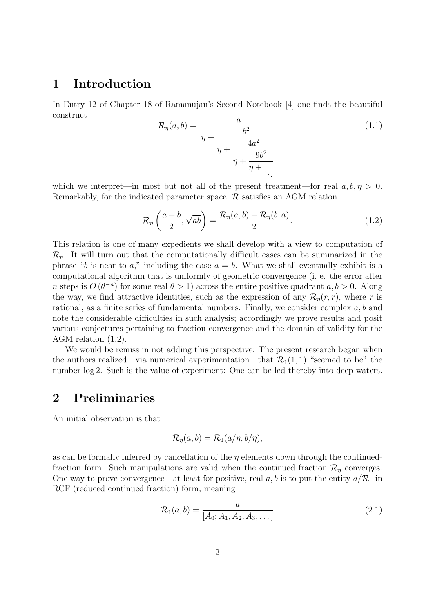#### 1 Introduction

In Entry 12 of Chapter 18 of Ramanujan's Second Notebook [4] one finds the beautiful construct

$$
\mathcal{R}_{\eta}(a,b) = \frac{a}{\eta + \frac{b^2}{\eta + \frac{4a^2}{\eta + \frac{9b^2}{\eta + \ddots}}}} \tag{1.1}
$$

which we interpret—in most but not all of the present treatment—for real  $a, b, \eta > 0$ . Remarkably, for the indicated parameter space,  $\mathcal{R}$  satisfies an AGM relation

$$
\mathcal{R}_{\eta}\left(\frac{a+b}{2},\sqrt{ab}\right) = \frac{\mathcal{R}_{\eta}(a,b) + \mathcal{R}_{\eta}(b,a)}{2}.
$$
\n(1.2)

This relation is one of many expedients we shall develop with a view to computation of  $\mathcal{R}_n$ . It will turn out that the computationally difficult cases can be summarized in the phrase "b is near to a," including the case  $a = b$ . What we shall eventually exhibit is a computational algorithm that is uniformly of geometric convergence (i. e. the error after n steps is  $O(\theta^{-n})$  for some real  $\theta > 1$ ) across the entire positive quadrant  $a, b > 0$ . Along the way, we find attractive identities, such as the expression of any  $\mathcal{R}_\eta(r,r)$ , where r is rational, as a finite series of fundamental numbers. Finally, we consider complex a, b and note the considerable difficulties in such analysis; accordingly we prove results and posit various conjectures pertaining to fraction convergence and the domain of validity for the AGM relation (1.2).

We would be remiss in not adding this perspective: The present research began when the authors realized—via numerical experimentation—that  $\mathcal{R}_1(1,1)$  "seemed to be" the number log 2. Such is the value of experiment: One can be led thereby into deep waters.

### 2 Preliminaries

An initial observation is that

$$
\mathcal{R}_{\eta}(a,b) = \mathcal{R}_{1}(a/\eta,b/\eta),
$$

as can be formally inferred by cancellation of the  $\eta$  elements down through the continuedfraction form. Such manipulations are valid when the continued fraction  $\mathcal{R}_\eta$  converges. One way to prove convergence—at least for positive, real  $a, b$  is to put the entity  $a/R_1$  in RCF (reduced continued fraction) form, meaning

$$
\mathcal{R}_1(a,b) = \frac{a}{[A_0; A_1, A_2, A_3, \dots]}
$$
 (2.1)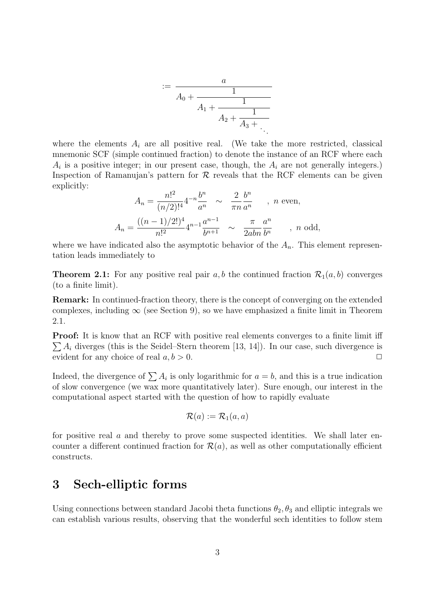$$
:= \frac{a}{A_0 + \frac{1}{A_1 + \frac{1}{A_2 + \frac{1}{A_3 + \dotsb}}}}
$$

where the elements  $A_i$  are all positive real. (We take the more restricted, classical mnemonic SCF (simple continued fraction) to denote the instance of an RCF where each  $A_i$  is a positive integer; in our present case, though, the  $A_i$  are not generally integers.) Inspection of Ramanujan's pattern for  $\mathcal R$  reveals that the RCF elements can be given explicitly:

$$
A_n = \frac{n!^2}{(n/2)!^4} 4^{-n} \frac{b^n}{a^n} \sim \frac{2}{\pi n} \frac{b^n}{a^n} \quad , \quad n \text{ even},
$$
  

$$
A_n = \frac{((n-1)/2!)^4}{n!^2} 4^{n-1} \frac{a^{n-1}}{b^{n+1}} \sim \frac{\pi}{2abn} \frac{a^n}{b^n} \quad , \quad n \text{ odd},
$$

where we have indicated also the asymptotic behavior of the  $A_n$ . This element representation leads immediately to

**Theorem 2.1:** For any positive real pair a, b the continued fraction  $\mathcal{R}_1(a, b)$  converges (to a finite limit).

Remark: In continued-fraction theory, there is the concept of converging on the extended complexes, including  $\infty$  (see Section 9), so we have emphasized a finite limit in Theorem 2.1.

**Proof:** It is know that an RCF with positive real elements converges to a finite limit iff  $\sum A_i$  diverges (this is the Seidel–Stern theorem [13, 14]). In our case, such divergence is evident for any choice of real  $a, b > 0$ .

Indeed, the divergence of  $\sum A_i$  is only logarithmic for  $a = b$ , and this is a true indication of slow convergence (we wax more quantitatively later). Sure enough, our interest in the computational aspect started with the question of how to rapidly evaluate

$$
\mathcal{R}(a) := \mathcal{R}_1(a,a)
$$

for positive real  $\alpha$  and thereby to prove some suspected identities. We shall later encounter a different continued fraction for  $\mathcal{R}(a)$ , as well as other computationally efficient constructs.

### 3 Sech-elliptic forms

Using connections between standard Jacobi theta functions  $\theta_2$ ,  $\theta_3$  and elliptic integrals we can establish various results, observing that the wonderful sech identities to follow stem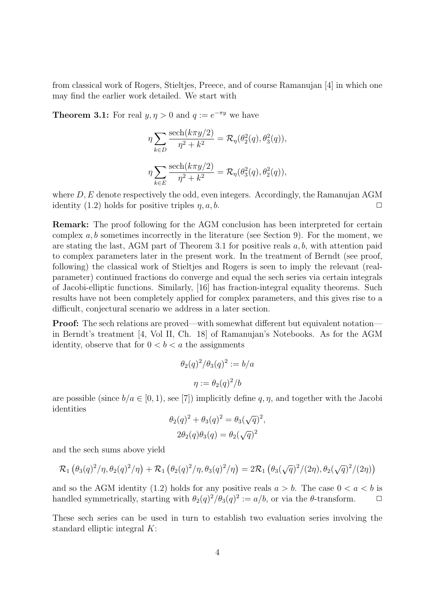from classical work of Rogers, Stieltjes, Preece, and of course Ramanujan [4] in which one may find the earlier work detailed. We start with

**Theorem 3.1:** For real  $y, \eta > 0$  and  $q := e^{-\pi y}$  we have

$$
\eta \sum_{k \in D} \frac{\text{sech}(k\pi y/2)}{\eta^2 + k^2} = \mathcal{R}_{\eta}(\theta_2^2(q), \theta_3^2(q)),
$$
  

$$
\eta \sum_{k \in E} \frac{\text{sech}(k\pi y/2)}{\eta^2 + k^2} = \mathcal{R}_{\eta}(\theta_3^2(q), \theta_2^2(q)),
$$

where  $D, E$  denote respectively the odd, even integers. Accordingly, the Ramanujan AGM identity (1.2) holds for positive triples  $\eta$ ,  $a, b$ .

Remark: The proof following for the AGM conclusion has been interpreted for certain complex  $a, b$  sometimes incorrectly in the literature (see Section 9). For the moment, we are stating the last, AGM part of Theorem 3.1 for positive reals  $a, b$ , with attention paid to complex parameters later in the present work. In the treatment of Berndt (see proof, following) the classical work of Stieltjes and Rogers is seen to imply the relevant (realparameter) continued fractions do converge and equal the sech series via certain integrals of Jacobi-elliptic functions. Similarly, [16] has fraction-integral equality theorems. Such results have not been completely applied for complex parameters, and this gives rise to a difficult, conjectural scenario we address in a later section.

Proof: The sech relations are proved—with somewhat different but equivalent notation in Berndt's treatment [4, Vol II, Ch. 18] of Ramanujan's Notebooks. As for the AGM identity, observe that for  $0 < b < a$  the assignments

$$
\theta_2(q)^2/\theta_3(q)^2 := b/a
$$

$$
\eta := \theta_2(q)^2/b
$$

are possible (since  $b/a \in [0,1)$ , see [7]) implicitly define q,  $\eta$ , and together with the Jacobi identities √

$$
\theta_2(q)^2 + \theta_3(q)^2 = \theta_3(\sqrt{q})^2,
$$
  

$$
2\theta_2(q)\theta_3(q) = \theta_2(\sqrt{q})^2
$$

and the sech sums above yield

$$
\mathcal{R}_1\left(\theta_3(q)^2/\eta,\theta_2(q)^2/\eta\right)+\mathcal{R}_1\left(\theta_2(q)^2/\eta,\theta_3(q)^2/\eta\right)=2\mathcal{R}_1\left(\theta_3(\sqrt{q})^2/(2\eta),\theta_2(\sqrt{q})^2/(2\eta)\right)
$$

and so the AGM identity (1.2) holds for any positive reals  $a > b$ . The case  $0 < a < b$  is handled symmetrically, starting with  $\theta_2(q)^2/\theta_3(q)^2 := a/b$ , or via the  $\theta$ -transform.  $\Box$ 

These sech series can be used in turn to establish two evaluation series involving the standard elliptic integral K: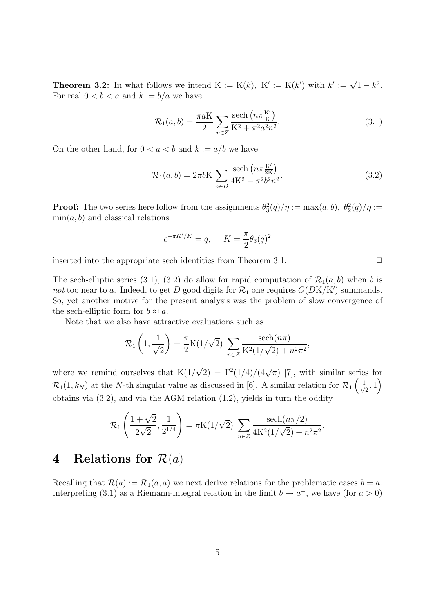**Theorem 3.2:** In what follows we intend  $K := K(k)$ ,  $K' := K(k')$  with  $k' := \sqrt{1 - k^2}$ . For real  $0 < b < a$  and  $k := b/a$  we have

$$
\mathcal{R}_1(a,b) = \frac{\pi a K}{2} \sum_{n \in \mathbb{Z}} \frac{\text{sech}\left(n \pi \frac{K'}{K}\right)}{K^2 + \pi^2 a^2 n^2}.
$$
\n(3.1)

On the other hand, for  $0 < a < b$  and  $k := a/b$  we have

$$
\mathcal{R}_1(a,b) = 2\pi bK \sum_{n \in D} \frac{\text{sech}\left(n\pi \frac{K'}{2K}\right)}{4K^2 + \pi^2 b^2 n^2}.
$$
\n(3.2)

**Proof:** The two series here follow from the assignments  $\theta_3^2(q)/\eta := \max(a, b), \theta_2^2(q)/\eta :=$  $\min(a, b)$  and classical relations

$$
e^{-\pi K'/K} = q, \quad K = \frac{\pi}{2} \theta_3(q)^2
$$

inserted into the appropriate sech identities from Theorem 3.1.  $\Box$ 

The sech-elliptic series (3.1), (3.2) do allow for rapid computation of  $\mathcal{R}_1(a, b)$  when b is not too near to a. Indeed, to get D good digits for  $\mathcal{R}_1$  one requires  $O(DK/K')$  summands. So, yet another motive for the present analysis was the problem of slow convergence of the sech-elliptic form for  $b \approx a$ .

Note that we also have attractive evaluations such as

$$
\mathcal{R}_1\left(1, \frac{1}{\sqrt{2}}\right) = \frac{\pi}{2} K(1/\sqrt{2}) \sum_{n \in \mathcal{Z}} \frac{\text{sech}(n\pi)}{K^2(1/\sqrt{2}) + n^2 \pi^2},
$$

where we remind ourselves that  $K(1)$ √  $\overline{2}$ ) =  $\Gamma^2(1/4)/(4\sqrt{\pi})$  [7], with similar series for  $\mathcal{R}_1(1,k_N)$  at the N-th singular value as discussed in [6]. A similar relation for  $\mathcal{R}_1\left(\frac{1}{\sqrt{N}}\right)$  $\frac{1}{2}$ , 1 obtains via (3.2), and via the AGM relation (1.2), yields in turn the oddity

$$
\mathcal{R}_1\left(\frac{1+\sqrt{2}}{2\sqrt{2}},\frac{1}{2^{1/4}}\right) = \pi K(1/\sqrt{2}) \sum_{n\in\mathcal{Z}} \frac{\text{sech}(n\pi/2)}{4K^2(1/\sqrt{2}) + n^2\pi^2}.
$$

## 4 Relations for  $\mathcal{R}(a)$

Recalling that  $\mathcal{R}(a) := \mathcal{R}_1(a, a)$  we next derive relations for the problematic cases  $b = a$ . Interpreting (3.1) as a Riemann-integral relation in the limit  $b \to a^-$ , we have (for  $a > 0$ )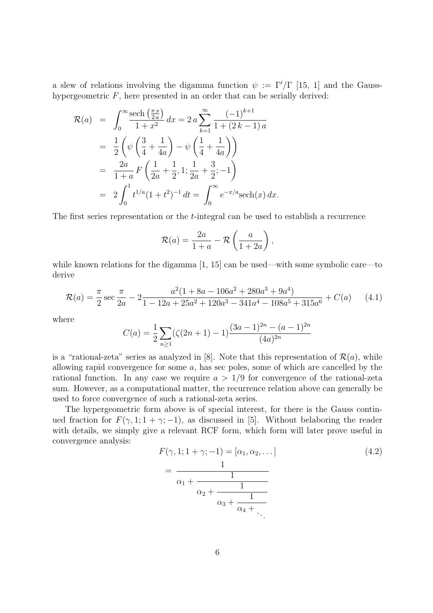a slew of relations involving the digamma function  $\psi := \Gamma'/\Gamma$  [15, 1] and the Gausshypergeometric  $F$ , here presented in an order that can be serially derived:

$$
\mathcal{R}(a) = \int_0^\infty \frac{\text{sech}\left(\frac{\pi x}{2a}\right)}{1+x^2} dx = 2 a \sum_{k=1}^\infty \frac{(-1)^{k+1}}{1+(2k-1)a}
$$
  
=  $\frac{1}{2} \left( \psi \left( \frac{3}{4} + \frac{1}{4a} \right) - \psi \left( \frac{1}{4} + \frac{1}{4a} \right) \right)$   
=  $\frac{2a}{1+a} F \left( \frac{1}{2a} + \frac{1}{2}, 1; \frac{1}{2a} + \frac{3}{2}; -1 \right)$   
=  $2 \int_0^1 t^{1/a} (1+t^2)^{-1} dt = \int_0^\infty e^{-x/a} \text{sech}(x) dx.$ 

The first series representation or the t-integral can be used to establish a recurrence

$$
\mathcal{R}(a) = \frac{2a}{1+a} - \mathcal{R}\left(\frac{a}{1+2a}\right),
$$

while known relations for the digamma  $[1, 15]$  can be used—with some symbolic care—to derive

$$
\mathcal{R}(a) = \frac{\pi}{2} \sec \frac{\pi}{2a} - 2 \frac{a^2 (1 + 8a - 106a^2 + 280a^3 + 9a^4)}{1 - 12a + 25a^2 + 120a^3 - 341a^4 - 108a^5 + 315a^6} + C(a)
$$
 (4.1)

where

$$
C(a) = \frac{1}{2} \sum_{n \ge 1} (\zeta(2n+1) - 1) \frac{(3a-1)^{2n} - (a-1)^{2n}}{(4a)^{2n}}
$$

is a "rational-zeta" series as analyzed in [8]. Note that this representation of  $\mathcal{R}(a)$ , while allowing rapid convergence for some a, has sec poles, some of which are cancelled by the rational function. In any case we require  $a > 1/9$  for convergence of the rational-zeta sum. However, as a computational matter, the recurrence relation above can generally be used to force convergence of such a rational-zeta series.

The hypergeometric form above is of special interest, for there is the Gauss continued fraction for  $F(\gamma, 1; 1 + \gamma; -1)$ , as discussed in [5]. Without belaboring the reader with details, we simply give a relevant RCF form, which form will later prove useful in convergence analysis:

$$
F(\gamma, 1; 1 + \gamma; -1) = [\alpha_1, \alpha_2, \dots]
$$
  
= 
$$
\frac{1}{\alpha_1 + \frac{1}{\alpha_2 + \frac{1}{\alpha_3 + \frac{1}{\alpha_4 + \dots}}}}
$$
 (4.2)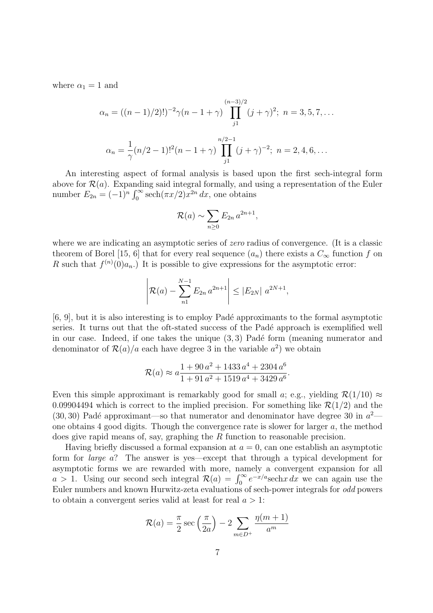where  $\alpha_1 = 1$  and

$$
\alpha_n = ((n-1)/2)!)^{-2} \gamma (n-1+\gamma) \prod_{j1}^{(n-3)/2} (j+\gamma)^2; \ n = 3, 5, 7, \dots
$$

$$
\alpha_n = \frac{1}{\gamma} (n/2 - 1)!^2 (n-1+\gamma) \prod_{j1}^{n/2-1} (j+\gamma)^{-2}; \ n = 2, 4, 6, \dots
$$

An interesting aspect of formal analysis is based upon the first sech-integral form above for  $\mathcal{R}(a)$ . Expanding said integral formally, and using a representation of the Euler number  $E_{2n} = (-1)^n \int_0^\infty \operatorname{sech}(\pi x/2) x^{2n} dx$ , one obtains

$$
\mathcal{R}(a) \sim \sum_{n\geq 0} E_{2n} a^{2n+1},
$$

where we are indicating an asymptotic series of *zero* radius of convergence. (It is a classic theorem of Borel [15, 6] that for every real sequence  $(a_n)$  there exists a  $C_{\infty}$  function f on R such that  $f^{(n)}(0)a_n$ . It is possible to give expressions for the asymptotic error:

$$
\left| \mathcal{R}(a) - \sum_{n=1}^{N-1} E_{2n} a^{2n+1} \right| \le |E_{2N}| a^{2N+1},
$$

[6, 9], but it is also interesting is to employ Pad´e approximants to the formal asymptotic series. It turns out that the oft-stated success of the Padé approach is exemplified well in our case. Indeed, if one takes the unique  $(3, 3)$  Padé form (meaning numerator and denominator of  $\mathcal{R}(a)/a$  each have degree 3 in the variable  $a^2$ ) we obtain

$$
\mathcal{R}(a) \approx a \frac{1 + 90 a^2 + 1433 a^4 + 2304 a^6}{1 + 91 a^2 + 1519 a^4 + 3429 a^6}.
$$

Even this simple approximant is remarkably good for small a; e.g., yielding  $\mathcal{R}(1/10) \approx$ 0.09904494 which is correct to the implied precision. For something like  $\mathcal{R}(1/2)$  and the (30, 30) Padé approximant—so that numerator and denominator have degree 30 in  $a^2$  one obtains 4 good digits. Though the convergence rate is slower for larger a, the method does give rapid means of, say, graphing the R function to reasonable precision.

Having briefly discussed a formal expansion at  $a = 0$ , can one establish an asymptotic form for large a? The answer is yes—except that through a typical development for asymptotic forms we are rewarded with more, namely a convergent expansion for all asymptotic forms we are rewarded with more, namely a convergent expansion for all  $a > 1$ . Using our second sech integral  $\mathcal{R}(a) = \int_0^\infty e^{-x/a}$ sech $x dx$  we can again use the Euler numbers and known Hurwitz-zeta evaluations of sech-power integrals for odd powers to obtain a convergent series valid at least for real  $a > 1$ :

$$
\mathcal{R}(a) = \frac{\pi}{2} \sec\left(\frac{\pi}{2a}\right) - 2 \sum_{m \in D^{+}} \frac{\eta(m+1)}{a^m}
$$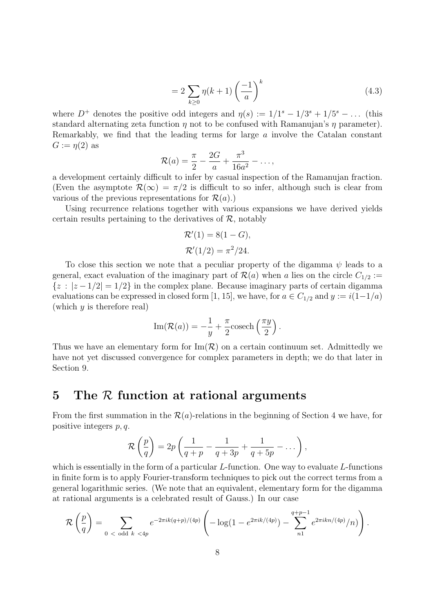$$
=2\sum_{k\geq 0}\eta(k+1)\left(\frac{-1}{a}\right)^k\tag{4.3}
$$

where  $D^+$  denotes the positive odd integers and  $\eta(s) := 1/1^s - 1/3^s + 1/5^s - \dots$  (this standard alternating zeta function  $\eta$  not to be confused with Ramanujan's  $\eta$  parameter). Remarkably, we find that the leading terms for large a involve the Catalan constant  $G := \eta(2)$  as

$$
\mathcal{R}(a) = \frac{\pi}{2} - \frac{2G}{a} + \frac{\pi^3}{16a^2} - \dots,
$$

a development certainly difficult to infer by casual inspection of the Ramanujan fraction. (Even the asymptote  $\mathcal{R}(\infty) = \pi/2$  is difficult to so infer, although such is clear from various of the previous representations for  $\mathcal{R}(a)$ .)

Using recurrence relations together with various expansions we have derived yields certain results pertaining to the derivatives of  $\mathcal{R}$ , notably

$$
\mathcal{R}'(1) = 8(1 - G),
$$
  

$$
\mathcal{R}'(1/2) = \pi^2/24.
$$

To close this section we note that a peculiar property of the digamma  $\psi$  leads to a general, exact evaluation of the imaginary part of  $\mathcal{R}(a)$  when a lies on the circle  $C_{1/2}$  :=  ${z : |z - 1/2| = 1/2}$  in the complex plane. Because imaginary parts of certain digamma evaluations can be expressed in closed form [1, 15], we have, for  $a \in C_{1/2}$  and  $y := i(1-1/a)$ (which  $y$  is therefore real)

Im(
$$
\mathcal{R}(a)
$$
) =  $-\frac{1}{y} + \frac{\pi}{2}$  cosech $\left(\frac{\pi y}{2}\right)$ .

Thus we have an elementary form for  $\text{Im}(\mathcal{R})$  on a certain continuum set. Admittedly we have not yet discussed convergence for complex parameters in depth; we do that later in Section 9.

#### 5 The  $R$  function at rational arguments

From the first summation in the  $\mathcal{R}(a)$ -relations in the beginning of Section 4 we have, for positive integers p, q.

$$
\mathcal{R}\left(\frac{p}{q}\right) = 2p\left(\frac{1}{q+p} - \frac{1}{q+3p} + \frac{1}{q+5p} - \dots\right),\,
$$

which is essentially in the form of a particular  $L$ -function. One way to evaluate  $L$ -functions in finite form is to apply Fourier-transform techniques to pick out the correct terms from a general logarithmic series. (We note that an equivalent, elementary form for the digamma at rational arguments is a celebrated result of Gauss.) In our case

$$
\mathcal{R}\left(\frac{p}{q}\right) = \sum_{0 < \text{ odd } k < 4p} e^{-2\pi i k (q+p)/(4p)} \left( -\log(1 - e^{2\pi i k/(4p)}) - \sum_{n=1}^{q+p-1} e^{2\pi i k n/(4p)}/n) \right).
$$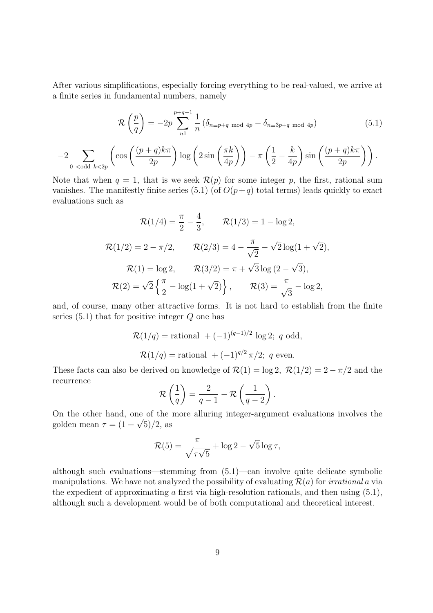After various simplifications, especially forcing everything to be real-valued, we arrive at a finite series in fundamental numbers, namely

$$
\mathcal{R}\left(\frac{p}{q}\right) = -2p \sum_{n=1}^{p+q-1} \frac{1}{n} \left(\delta_{n \equiv p+q \mod 4p} - \delta_{n \equiv 3p+q \mod 4p}\right)
$$
(5.1)

$$
-2\sum_{0 \text{ odd } k < 2p} \left( \cos\left(\frac{(p+q)k\pi}{2p}\right) \log\left(2\sin\left(\frac{\pi k}{4p}\right)\right) - \pi \left(\frac{1}{2} - \frac{k}{4p}\right) \sin\left(\frac{(p+q)k\pi}{2p}\right) \right).
$$

Note that when  $q = 1$ , that is we seek  $\mathcal{R}(p)$  for some integer p, the first, rational sum vanishes. The manifestly finite series (5.1) (of  $O(p+q)$  total terms) leads quickly to exact evaluations such as

$$
\mathcal{R}(1/4) = \frac{\pi}{2} - \frac{4}{3}, \qquad \mathcal{R}(1/3) = 1 - \log 2,
$$
  

$$
\mathcal{R}(1/2) = 2 - \pi/2, \qquad \mathcal{R}(2/3) = 4 - \frac{\pi}{\sqrt{2}} - \sqrt{2}\log(1 + \sqrt{2}),
$$
  

$$
\mathcal{R}(1) = \log 2, \qquad \mathcal{R}(3/2) = \pi + \sqrt{3}\log(2 - \sqrt{3}),
$$
  

$$
\mathcal{R}(2) = \sqrt{2}\left\{\frac{\pi}{2} - \log(1 + \sqrt{2})\right\}, \qquad \mathcal{R}(3) = \frac{\pi}{\sqrt{3}} - \log 2,
$$

and, of course, many other attractive forms. It is not hard to establish from the finite series  $(5.1)$  that for positive integer  $Q$  one has

$$
\mathcal{R}(1/q) = \text{rational } + (-1)^{(q-1)/2} \log 2; \ q \text{ odd},
$$
  

$$
\mathcal{R}(1/q) = \text{rational } + (-1)^{q/2} \pi/2; \ q \text{ even}.
$$

These facts can also be derived on knowledge of  $\mathcal{R}(1) = \log 2$ ,  $\mathcal{R}(1/2) = 2 - \pi/2$  and the recurrence  $\overline{a}$  $\mathbf{r}$  $\mathbf{r}$ 

$$
\mathcal{R}\left(\frac{1}{q}\right) = \frac{2}{q-1} - \mathcal{R}\left(\frac{1}{q-2}\right).
$$

On the other hand, one of the more alluring integer-argument evaluations involves the On the other hand, one of the<br>golden mean  $\tau = (1+\sqrt{5})/2$ , as

$$
\mathcal{R}(5) = \frac{\pi}{\sqrt{\tau\sqrt{5}}} + \log 2 - \sqrt{5} \log \tau,
$$

although such evaluations—stemming from (5.1)—can involve quite delicate symbolic manipulations. We have not analyzed the possibility of evaluating  $\mathcal{R}(a)$  for *irrational* a via the expedient of approximating  $\alpha$  first via high-resolution rationals, and then using  $(5.1)$ , although such a development would be of both computational and theoretical interest.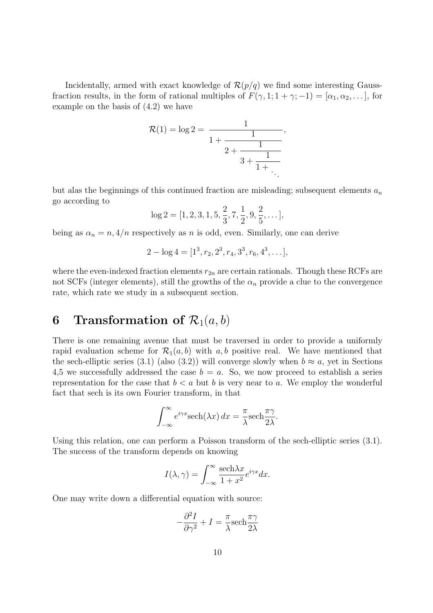Incidentally, armed with exact knowledge of  $\mathcal{R}(p/q)$  we find some interesting Gaussfraction results, in the form of rational multiples of  $F(\gamma, 1; 1 + \gamma; -1) = [\alpha_1, \alpha_2, \dots]$ , for example on the basis of (4.2) we have

$$
\mathcal{R}(1) = \log 2 = \frac{1}{1 + \frac{1}{2 + \frac{1}{3 + \frac{1}{1 + \dots}}}},
$$

but alas the beginnings of this continued fraction are misleading; subsequent elements  $a_n$ go according to

$$
\log 2 = [1, 2, 3, 1, 5, \frac{2}{3}, 7, \frac{1}{2}, 9, \frac{2}{5}, \dots],
$$

being as  $\alpha_n = n$ ,  $4/n$  respectively as n is odd, even. Similarly, one can derive

$$
2 - \log 4 = [1^3, r_2, 2^3, r_4, 3^3, r_6, 4^3, \dots],
$$

where the even-indexed fraction elements  $r_{2n}$  are certain rationals. Though these RCFs are not SCFs (integer elements), still the growths of the  $\alpha_n$  provide a clue to the convergence rate, which rate we study in a subsequent section.

## 6 Transformation of  $\mathcal{R}_1(a, b)$

There is one remaining avenue that must be traversed in order to provide a uniformly rapid evaluation scheme for  $\mathcal{R}_1(a, b)$  with a, b positive real. We have mentioned that the sech-elliptic series (3.1) (also (3.2)) will converge slowly when  $b \approx a$ , yet in Sections 4,5 we successfully addressed the case  $b = a$ . So, we now proceed to establish a series representation for the case that  $b < a$  but b is very near to a. We employ the wonderful fact that sech is its own Fourier transform, in that

$$
\int_{-\infty}^{\infty} e^{i\gamma x} \mathrm{sech}(\lambda x) \, dx = \frac{\pi}{\lambda} \mathrm{sech} \frac{\pi \gamma}{2\lambda}.
$$

Using this relation, one can perform a Poisson transform of the sech-elliptic series (3.1). The success of the transform depends on knowing

$$
I(\lambda, \gamma) = \int_{-\infty}^{\infty} \frac{\text{sech}\lambda x}{1 + x^2} e^{i\gamma x} dx.
$$

One may write down a differential equation with source:

$$
-\frac{\partial^2 I}{\partial \gamma^2} + I = \frac{\pi}{\lambda} \text{sech} \frac{\pi \gamma}{2\lambda}
$$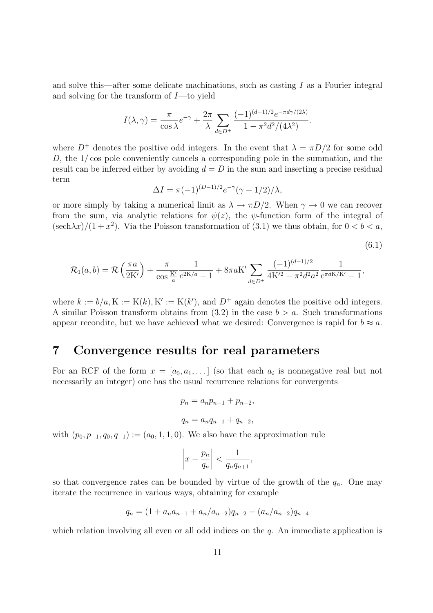and solve this—after some delicate machinations, such as casting  $I$  as a Fourier integral and solving for the transform of  $I$ —to yield

$$
I(\lambda, \gamma) = \frac{\pi}{\cos \lambda} e^{-\gamma} + \frac{2\pi}{\lambda} \sum_{d \in D^+} \frac{(-1)^{(d-1)/2} e^{-\pi d \gamma/(2\lambda)}}{1 - \pi^2 d^2/(4\lambda^2)}.
$$

where  $D^+$  denotes the positive odd integers. In the event that  $\lambda = \pi D/2$  for some odd  $D$ , the  $1/\cos$  pole conveniently cancels a corresponding pole in the summation, and the result can be inferred either by avoiding  $d = D$  in the sum and inserting a precise residual term

$$
\Delta I = \pi (-1)^{(D-1)/2} e^{-\gamma} (\gamma + 1/2) / \lambda,
$$

or more simply by taking a numerical limit as  $\lambda \to \pi D/2$ . When  $\gamma \to 0$  we can recover from the sum, via analytic relations for  $\psi(z)$ , the  $\psi$ -function form of the integral of  $(\text{sech}\lambda x)/(1+x^2)$ . Via the Poisson transformation of (3.1) we thus obtain, for  $0 < b < a$ ,

$$
(6.1)
$$

$$
\mathcal{R}_1(a,b) = \mathcal{R}\left(\frac{\pi a}{2K'}\right) + \frac{\pi}{\cos\frac{K'}{a}}\frac{1}{e^{2K/a} - 1} + 8\pi aK'\sum_{d \in D^+} \frac{(-1)^{(d-1)/2}}{4K'^2 - \pi^2 d^2 a^2} \frac{1}{e^{\pi dK/K'} - 1},
$$

where  $k := b/a$ ,  $K := K(k)$ ,  $K' := K(k')$ , and  $D^+$  again denotes the positive odd integers. A similar Poisson transform obtains from  $(3.2)$  in the case  $b > a$ . Such transformations appear recondite, but we have achieved what we desired: Convergence is rapid for  $b \approx a$ .

# 7 Convergence results for real parameters

For an RCF of the form  $x = [a_0, a_1, \dots]$  (so that each  $a_i$  is nonnegative real but not necessarily an integer) one has the usual recurrence relations for convergents

$$
p_n = a_n p_{n-1} + p_{n-2},
$$
  

$$
q_n = a_n q_{n-1} + q_{n-2},
$$

with  $(p_0, p_{-1}, q_0, q_{-1}) := (a_0, 1, 1, 0)$ . We also have the approximation rule

$$
\left| x - \frac{p_n}{q_n} \right| < \frac{1}{q_n q_{n+1}},
$$

so that convergence rates can be bounded by virtue of the growth of the  $q_n$ . One may iterate the recurrence in various ways, obtaining for example

$$
q_n = (1 + a_n a_{n-1} + a_n/a_{n-2})q_{n-2} - (a_n/a_{n-2})q_{n-4}
$$

which relation involving all even or all odd indices on the q. An immediate application is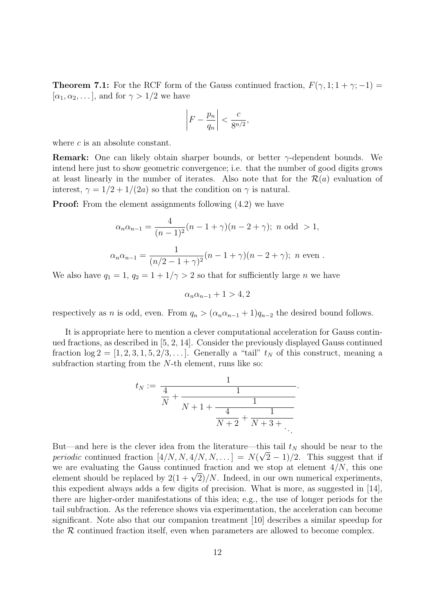**Theorem 7.1:** For the RCF form of the Gauss continued fraction,  $F(\gamma, 1; 1 + \gamma; -1) =$  $[\alpha_1, \alpha_2, \ldots]$ , and for  $\gamma > 1/2$  we have

$$
\left|F - \frac{p_n}{q_n}\right| < \frac{c}{8^{n/2}},
$$

where c is an absolute constant.

**Remark:** One can likely obtain sharper bounds, or better  $\gamma$ -dependent bounds. We intend here just to show geometric convergence; i.e. that the number of good digits grows at least linearly in the number of iterates. Also note that for the  $\mathcal{R}(a)$  evaluation of interest,  $\gamma = 1/2 + 1/(2a)$  so that the condition on  $\gamma$  is natural.

**Proof:** From the element assignments following  $(4.2)$  we have

$$
\alpha_n \alpha_{n-1} = \frac{4}{(n-1)^2} (n-1+\gamma)(n-2+\gamma); \ n \text{ odd } > 1,
$$
  

$$
\alpha_n \alpha_{n-1} = \frac{1}{(n/2-1+\gamma)^2} (n-1+\gamma)(n-2+\gamma); \ n \text{ even }.
$$

We also have  $q_1 = 1$ ,  $q_2 = 1 + 1/\gamma > 2$  so that for sufficiently large *n* we have

$$
\alpha_n \alpha_{n-1} + 1 > 4, 2
$$

respectively as n is odd, even. From  $q_n > (\alpha_n \alpha_{n-1} + 1)q_{n-2}$  the desired bound follows.

It is appropriate here to mention a clever computational acceleration for Gauss continued fractions, as described in [5, 2, 14]. Consider the previously displayed Gauss continued fraction  $\log 2 = [1, 2, 3, 1, 5, 2/3, \dots]$ . Generally a "tail"  $t_N$  of this construct, meaning a subfraction starting from the N-th element, runs like so:

$$
t_N := \frac{1}{\frac{4}{N} + \frac{1}{N+1 + \frac{1}{\frac{4}{N+2} + \frac{1}{N+3 + \dots}}}}.
$$

But—and here is the clever idea from the literature—this tail  $t_N$  should be near to the periodic continued fraction  $[4/N, N, 4/N, N, \ldots] = N(\sqrt{2} - 1)/2$ . This suggest that if we are evaluating the Gauss continued fraction and we stop at element  $4/N$ , this one we are evaluating the Gauss continued fraction and we stop at element  $4/N$ , this one<br>element should be replaced by  $2(1+\sqrt{2})/N$ . Indeed, in our own numerical experiments, this expedient always adds a few digits of precision. What is more, as suggested in [14], there are higher-order manifestations of this idea; e.g., the use of longer periods for the tail subfraction. As the reference shows via experimentation, the acceleration can become significant. Note also that our companion treatment [10] describes a similar speedup for the  $R$  continued fraction itself, even when parameters are allowed to become complex.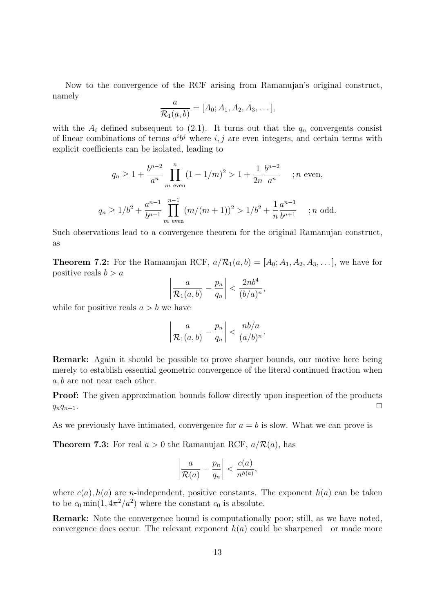Now to the convergence of the RCF arising from Ramanujan's original construct, namely

$$
\frac{a}{\mathcal{R}_1(a,b)} = [A_0; A_1, A_2, A_3, \dots],
$$

with the  $A_i$  defined subsequent to (2.1). It turns out that the  $q_n$  convergents consist of linear combinations of terms  $a^i b^j$  where i, j are even integers, and certain terms with explicit coefficients can be isolated, leading to

$$
q_n \ge 1 + \frac{b^{n-2}}{a^n} \prod_{m \text{ even}}^n (1 - 1/m)^2 > 1 + \frac{1}{2n} \frac{b^{n-2}}{a^n} \quad ; n \text{ even},
$$
  

$$
q_n \ge 1/b^2 + \frac{a^{n-1}}{b^{n+1}} \prod_{m \text{ even}}^{n-1} (m/(m+1))^2 > 1/b^2 + \frac{1}{n} \frac{a^{n-1}}{b^{n+1}} \quad ; n \text{ odd}.
$$

Such observations lead to a convergence theorem for the original Ramanujan construct, as

**Theorem 7.2:** For the Ramanujan RCF,  $a/R_1(a, b) = [A_0; A_1, A_2, A_3, \dots]$ , we have for positive reals  $b > a$  $\overline{a}$  $\overline{a}$ 

$$
\left|\frac{a}{\mathcal{R}_1(a,b)} - \frac{p_n}{q_n}\right| < \frac{2nb^4}{(b/a)^n},
$$

while for positive reals  $a > b$  we have

$$
\left|\frac{a}{\mathcal{R}_1(a,b)} - \frac{p_n}{q_n}\right| < \frac{nb/a}{(a/b)^n}.
$$

Remark: Again it should be possible to prove sharper bounds, our motive here being merely to establish essential geometric convergence of the literal continued fraction when a, b are not near each other.

**Proof:** The given approximation bounds follow directly upon inspection of the products  $q_nq_{n+1}$ .

As we previously have intimated, convergence for  $a = b$  is slow. What we can prove is

**Theorem 7.3:** For real  $a > 0$  the Ramanujan RCF,  $a/R(a)$ , has

$$
\left|\frac{a}{\mathcal{R}(a)} - \frac{p_n}{q_n}\right| < \frac{c(a)}{n^{h(a)}},
$$

where  $c(a)$ ,  $h(a)$  are *n*-independent, positive constants. The exponent  $h(a)$  can be taken to be  $c_0 \min(1, 4\pi^2/a^2)$  where the constant  $c_0$  is absolute.

Remark: Note the convergence bound is computationally poor; still, as we have noted, convergence does occur. The relevant exponent  $h(a)$  could be sharpened—or made more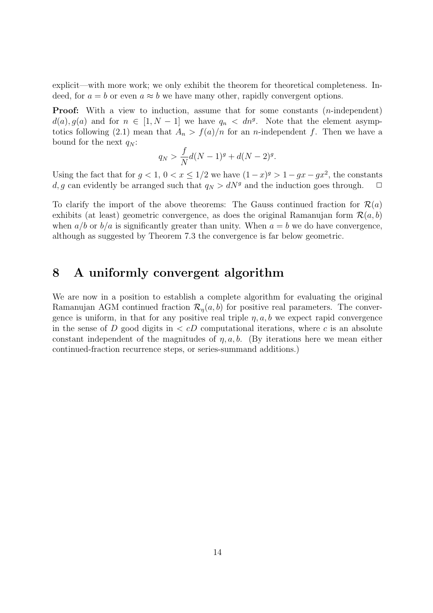explicit—with more work; we only exhibit the theorem for theoretical completeness. Indeed, for  $a = b$  or even  $a \approx b$  we have many other, rapidly convergent options.

**Proof:** With a view to induction, assume that for some constants  $(n$ -independent)  $d(a), g(a)$  and for  $n \in [1, N-1]$  we have  $q_n < dn<sup>g</sup>$ . Note that the element asymptotics following (2.1) mean that  $A_n > f(a)/n$  for an *n*-independent f. Then we have a bound for the next  $q_N$ :

$$
q_N > \frac{f}{N}d(N-1)^g + d(N-2)^g.
$$

Using the fact that for  $g < 1$ ,  $0 < x \leq 1/2$  we have  $(1-x)^g > 1 - gx - gx^2$ , the constants d, g can evidently be arranged such that  $q_N > dN^g$  and the induction goes through.  $\Box$ 

To clarify the import of the above theorems: The Gauss continued fraction for  $\mathcal{R}(a)$ exhibits (at least) geometric convergence, as does the original Ramanujan form  $\mathcal{R}(a, b)$ when  $a/b$  or  $b/a$  is significantly greater than unity. When  $a = b$  we do have convergence, although as suggested by Theorem 7.3 the convergence is far below geometric.

### 8 A uniformly convergent algorithm

We are now in a position to establish a complete algorithm for evaluating the original Ramanujan AGM continued fraction  $\mathcal{R}_n(a, b)$  for positive real parameters. The convergence is uniform, in that for any positive real triple  $\eta$ , a, b we expect rapid convergence in the sense of D good digits in  $\langle cD \rangle$  computational iterations, where c is an absolute constant independent of the magnitudes of  $\eta$ ,  $a$ ,  $b$ . (By iterations here we mean either continued-fraction recurrence steps, or series-summand additions.)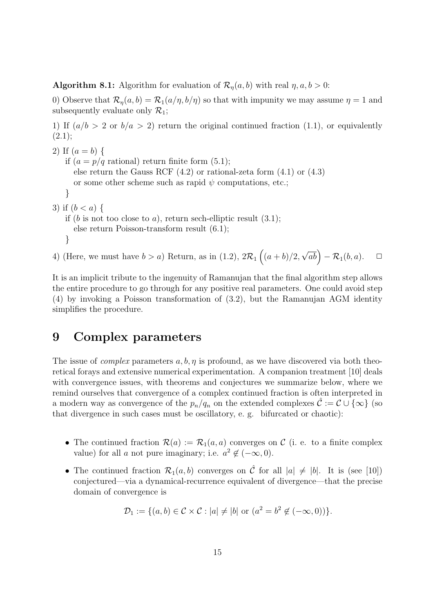**Algorithm 8.1:** Algorithm for evaluation of  $\mathcal{R}_n(a, b)$  with real  $\eta, a, b > 0$ :

0) Observe that  $\mathcal{R}_{\eta}(a, b) = \mathcal{R}_{1}(a/\eta, b/\eta)$  so that with impunity we may assume  $\eta = 1$  and subsequently evaluate only  $\mathcal{R}_1$ ;

1) If  $(a/b > 2 \text{ or } b/a > 2)$  return the original continued fraction (1.1), or equivalently  $(2.1);$ 

```
2) If (a = b) {
   if (a = p/q \text{ rational}) return finite form (5.1);
      else return the Gauss RCF (4.2) or rational-zeta form (4.1) or (4.3)
      or some other scheme such as rapid \psi computations, etc.;
   }
3) if (b < a) {
   if (b is not too close to a), return sech-elliptic result (3.1);
      else return Poisson-transform result (6.1);
```

```
}
```
4) (Here, we must have  $b > a$ ) Return, as in (1.2),  $2\mathcal{R}_1$  $\overline{a}$  $(a + b)/2,$  $\sqrt{ab}$  –  $\mathcal{R}_1(b,a)$ .  $\Box$ 

It is an implicit tribute to the ingenuity of Ramanujan that the final algorithm step allows the entire procedure to go through for any positive real parameters. One could avoid step (4) by invoking a Poisson transformation of (3.2), but the Ramanujan AGM identity simplifies the procedure.

### 9 Complex parameters

The issue of *complex* parameters  $a, b, \eta$  is profound, as we have discovered via both theoretical forays and extensive numerical experimentation. A companion treatment [10] deals with convergence issues, with theorems and conjectures we summarize below, where we remind ourselves that convergence of a complex continued fraction is often interpreted in a modern way as convergence of the  $p_n/q_n$  on the extended complexes  $\mathcal{C} := \mathcal{C} \cup \{\infty\}$  (so that divergence in such cases must be oscillatory, e. g. bifurcated or chaotic):

- The continued fraction  $\mathcal{R}(a) := \mathcal{R}_1(a, a)$  converges on C (i. e. to a finite complex value) for all a not pure imaginary; i.e.  $a^2 \notin (-\infty, 0)$ .
- The continued fraction  $\mathcal{R}_1(a, b)$  converges on  $\hat{\mathcal{C}}$  for all  $|a| \neq |b|$ . It is (see [10]) conjectured—via a dynamical-recurrence equivalent of divergence—that the precise domain of convergence is

 $\mathcal{D}_1 := \{ (a, b) \in \mathcal{C} \times \mathcal{C} : |a| \neq |b| \text{ or } (a^2 = b^2 \notin (-\infty, 0)) \}.$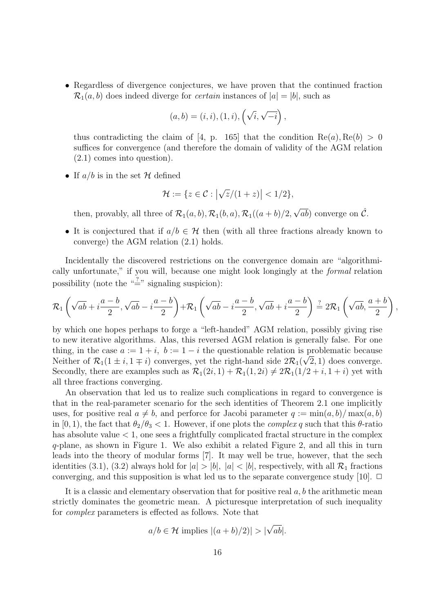• Regardless of divergence conjectures, we have proven that the continued fraction  $\mathcal{R}_1(a, b)$  does indeed diverge for *certain* instances of  $|a| = |b|$ , such as

$$
(a, b) = (i, i), (1, i), (\sqrt{i}, \sqrt{-i}),
$$

thus contradicting the claim of [4, p. 165] that the condition  $\text{Re}(a), \text{Re}(b) > 0$ suffices for convergence (and therefore the domain of validity of the AGM relation (2.1) comes into question).

• If  $a/b$  is in the set H defined

$$
\mathcal{H} := \{ z \in \mathcal{C} : |\sqrt{z}/(1+z)| < 1/2 \},
$$

then, provably, all three of  $\mathcal{R}_1(a, b), \mathcal{R}_1(b, a), \mathcal{R}_1((a + b)/2,$  $\sqrt{ab}$ ) converge on  $\hat{\mathcal{C}}$ .

• It is conjectured that if  $a/b \in \mathcal{H}$  then (with all three fractions already known to converge) the AGM relation (2.1) holds.

Incidentally the discovered restrictions on the convergence domain are "algorithmically unfortunate," if you will, because one might look longingly at the formal relation possibility (note the " $\stackrel{?}{=}$ " signaling suspicion):

$$
\mathcal{R}_1\left(\sqrt{ab}+i\frac{a-b}{2},\sqrt{ab}-i\frac{a-b}{2}\right)+\mathcal{R}_1\left(\sqrt{ab}-i\frac{a-b}{2},\sqrt{ab}+i\frac{a-b}{2}\right)\stackrel{?}{=}2\mathcal{R}_1\left(\sqrt{ab},\frac{a+b}{2}\right),
$$

by which one hopes perhaps to forge a "left-handed" AGM relation, possibly giving rise to new iterative algorithms. Alas, this reversed AGM relation is generally false. For one thing, in the case  $a := 1 + i$ ,  $b := 1 - i$  the questionable relation is problematic because Neither of  $\mathcal{R}_1(1 \pm i, 1 \mp i)$  converges, yet the right-hand side  $2\mathcal{R}_1(\sqrt{2},1)$  does converge. Secondly, there are examples such as  $\mathcal{R}_1(2i, 1) + \mathcal{R}_1(1, 2i) \neq 2\mathcal{R}_1(1/2 + i, 1 + i)$  yet with all three fractions converging.

An observation that led us to realize such complications in regard to convergence is that in the real-parameter scenario for the sech identities of Theorem 2.1 one implicitly uses, for positive real  $a \neq b$ , and perforce for Jacobi parameter  $q := \min(a, b) / \max(a, b)$ in [0, 1), the fact that  $\theta_2/\theta_3 < 1$ . However, if one plots the *complex q* such that this  $\theta$ -ratio has absolute value  $\lt 1$ , one sees a frightfully complicated fractal structure in the complex q-plane, as shown in Figure 1. We also exhibit a related Figure 2, and all this in turn leads into the theory of modular forms [7]. It may well be true, however, that the sech identities (3.1), (3.2) always hold for  $|a| > |b|$ ,  $|a| < |b|$ , respectively, with all  $\mathcal{R}_1$  fractions converging, and this supposition is what led us to the separate convergence study [10].  $\Box$ 

It is a classic and elementary observation that for positive real  $a, b$  the arithmetic mean strictly dominates the geometric mean. A picturesque interpretation of such inequality for complex parameters is effected as follows. Note that

$$
a/b \in \mathcal{H}
$$
 implies  $|(a+b)/2)| > |\sqrt{ab}|$ .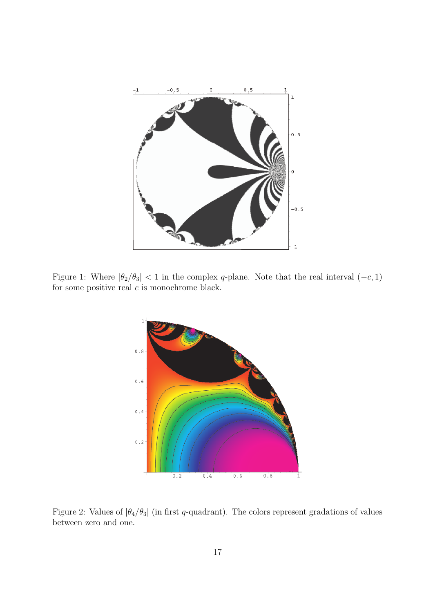

Figure 1: Where  $|\theta_2/\theta_3|$  < 1 in the complex q-plane. Note that the real interval  $(-c, 1)$ for some positive real  $\boldsymbol{c}$  is monochrome black.



Figure 2: Values of  $|\theta_4/\theta_3|$  (in first q-quadrant). The colors represent gradations of values between zero and one.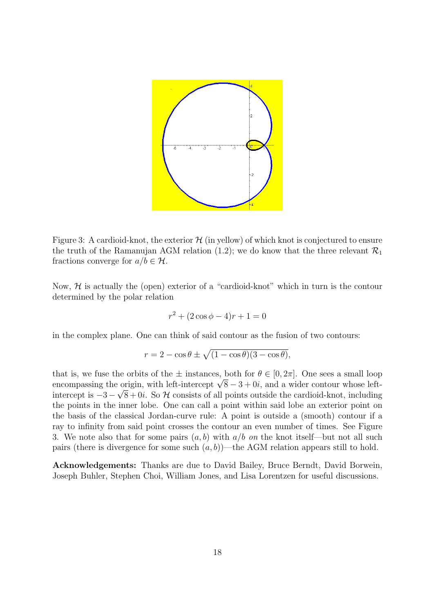

Figure 3: A cardioid-knot, the exterior  $\mathcal H$  (in yellow) of which knot is conjectured to ensure the truth of the Ramanujan AGM relation (1.2); we do know that the three relevant  $\mathcal{R}_1$ fractions converge for  $a/b \in \mathcal{H}$ .

Now,  $H$  is actually the (open) exterior of a "cardioid-knot" which in turn is the contour determined by the polar relation

$$
r^2 + (2\cos\phi - 4)r + 1 = 0
$$

in the complex plane. One can think of said contour as the fusion of two contours:

$$
r = 2 - \cos \theta \pm \sqrt{(1 - \cos \theta)(3 - \cos \theta)},
$$

that is, we fuse the orbits of the  $\pm$  instances, both for  $\theta \in [0, 2\pi]$ . One sees a small loop that is, we file the orbits of the  $\pm$  instances, both for  $\theta \in [0, 2\pi]$ . One sees a small loop encompassing the origin, with left-intercept  $\sqrt{8} - 3 + 0i$ , and a wider contour whose leftintercept is  $-3 - \sqrt{8} + 0i$ . So H consists of all points outside the cardioid-knot, including the points in the inner lobe. One can call a point within said lobe an exterior point on the basis of the classical Jordan-curve rule: A point is outside a (smooth) contour if a ray to infinity from said point crosses the contour an even number of times. See Figure 3. We note also that for some pairs  $(a, b)$  with  $a/b$  on the knot itself—but not all such pairs (there is divergence for some such  $(a, b)$ )—the AGM relation appears still to hold.

Acknowledgements: Thanks are due to David Bailey, Bruce Berndt, David Borwein, Joseph Buhler, Stephen Choi, William Jones, and Lisa Lorentzen for useful discussions.